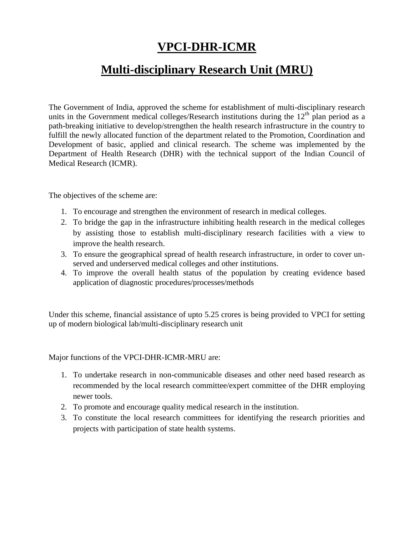# **VPCI-DHR-ICMR**

# **Multi-disciplinary Research Unit (MRU)**

The Government of India, approved the scheme for establishment of multi-disciplinary research units in the Government medical colleges/Research institutions during the  $12<sup>th</sup>$  plan period as a path-breaking initiative to develop/strengthen the health research infrastructure in the country to fulfill the newly allocated function of the department related to the Promotion, Coordination and Development of basic, applied and clinical research. The scheme was implemented by the Department of Health Research (DHR) with the technical support of the Indian Council of Medical Research (ICMR).

The objectives of the scheme are:

- 1. To encourage and strengthen the environment of research in medical colleges.
- 2. To bridge the gap in the infrastructure inhibiting health research in the medical colleges by assisting those to establish multi-disciplinary research facilities with a view to improve the health research.
- 3. To ensure the geographical spread of health research infrastructure, in order to cover unserved and underserved medical colleges and other institutions.
- 4. To improve the overall health status of the population by creating evidence based application of diagnostic procedures/processes/methods

Under this scheme, financial assistance of upto 5.25 crores is being provided to VPCI for setting up of modern biological lab/multi-disciplinary research unit

Major functions of the VPCI-DHR-ICMR-MRU are:

- 1. To undertake research in non-communicable diseases and other need based research as recommended by the local research committee/expert committee of the DHR employing newer tools.
- 2. To promote and encourage quality medical research in the institution.
- 3. To constitute the local research committees for identifying the research priorities and projects with participation of state health systems.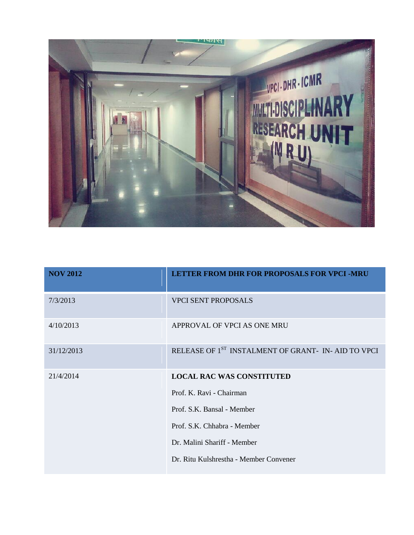

| <b>NOV 2012</b> | <b>LETTER FROM DHR FOR PROPOSALS FOR VPCI-MRU</b>              |
|-----------------|----------------------------------------------------------------|
| 7/3/2013        | <b>VPCI SENT PROPOSALS</b>                                     |
| 4/10/2013       | APPROVAL OF VPCI AS ONE MRU                                    |
| 31/12/2013      | RELEASE OF 1 <sup>ST</sup> INSTALMENT OF GRANT- IN-AID TO VPCI |
| 21/4/2014       | <b>LOCAL RAC WAS CONSTITUTED</b>                               |
|                 | Prof. K. Ravi - Chairman                                       |
|                 | Prof. S.K. Bansal - Member                                     |
|                 | Prof. S.K. Chhabra - Member                                    |
|                 | Dr. Malini Shariff - Member                                    |
|                 | Dr. Ritu Kulshrestha - Member Convener                         |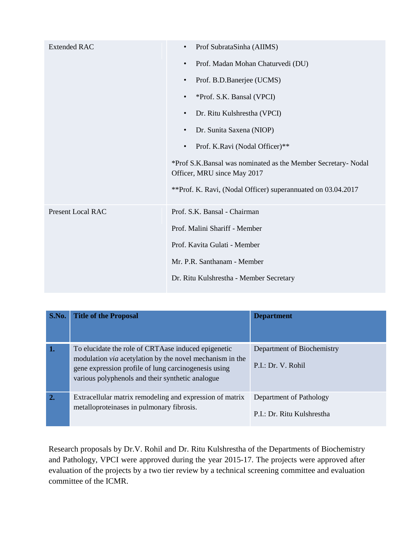| <b>Extended RAC</b>      | Prof SubrataSinha (AIIMS)<br>$\bullet$                                                       |  |
|--------------------------|----------------------------------------------------------------------------------------------|--|
|                          | Prof. Madan Mohan Chaturvedi (DU)<br>$\bullet$                                               |  |
|                          | Prof. B.D.Banerjee (UCMS)<br>$\bullet$                                                       |  |
|                          | *Prof. S.K. Bansal (VPCI)<br>$\bullet$                                                       |  |
|                          | Dr. Ritu Kulshrestha (VPCI)<br>$\bullet$                                                     |  |
|                          | Dr. Sunita Saxena (NIOP)<br>$\bullet$                                                        |  |
|                          | Prof. K.Ravi (Nodal Officer)**<br>$\bullet$                                                  |  |
|                          | *Prof S.K.Bansal was nominated as the Member Secretary- Nodal<br>Officer, MRU since May 2017 |  |
|                          | **Prof. K. Ravi, (Nodal Officer) superannuated on 03.04.2017                                 |  |
| <b>Present Local RAC</b> | Prof. S.K. Bansal - Chairman                                                                 |  |
|                          | Prof. Malini Shariff - Member                                                                |  |
|                          | Prof. Kavita Gulati - Member                                                                 |  |
|                          | Mr. P.R. Santhanam - Member                                                                  |  |
|                          | Dr. Ritu Kulshrestha - Member Secretary                                                      |  |

| S.No. | <b>Title of the Proposal</b>                                                                                                                                                                                                        | <b>Department</b>                                     |
|-------|-------------------------------------------------------------------------------------------------------------------------------------------------------------------------------------------------------------------------------------|-------------------------------------------------------|
| 1.    | To elucidate the role of CRTA ase induced epigenetic<br>modulation <i>via</i> acetylation by the novel mechanism in the<br>gene expression profile of lung carcinogenesis using<br>various polyphenols and their synthetic analogue | Department of Biochemistry<br>P.I.: Dr. V. Rohil      |
| 2.    | Extracellular matrix remodeling and expression of matrix<br>metalloproteinases in pulmonary fibrosis.                                                                                                                               | Department of Pathology<br>P.I.: Dr. Ritu Kulshrestha |

Research proposals by Dr.V. Rohil and Dr. Ritu Kulshrestha of the Departments of Biochemistry and Pathology, VPCI were approved during the year 2015-17. The projects were approved after evaluation of the projects by a two tier review by a technical screening committee and evaluation committee of the ICMR.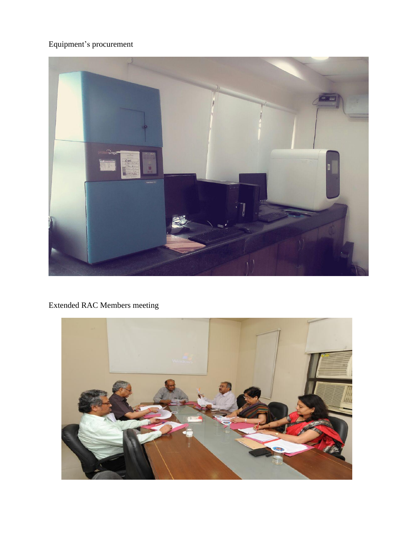### Equipment's procurement



## Extended RAC Members meeting